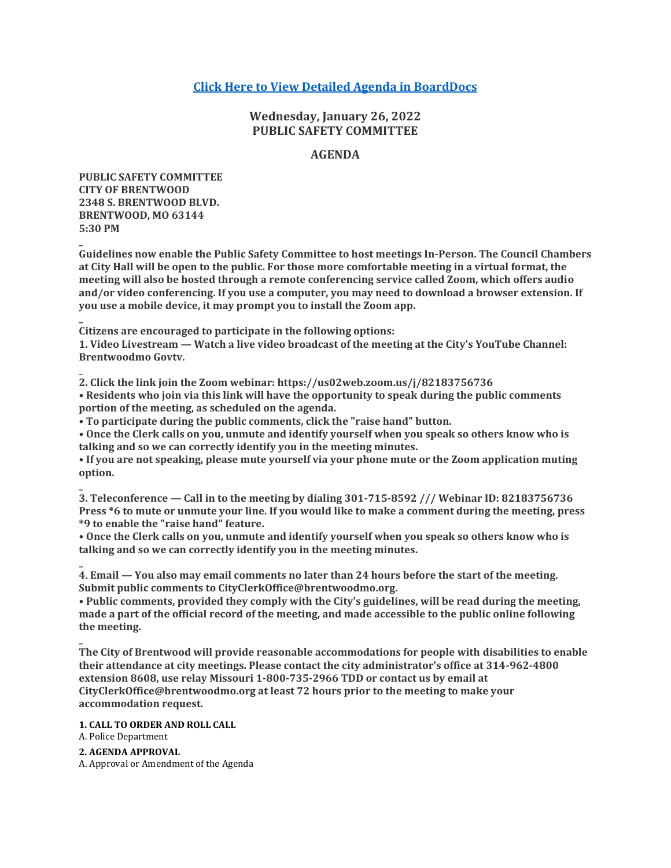## **[Click Here to View Detailed Agenda in BoardDocs](http://go.boarddocs.com/mo/cob/Board.nsf/goto?open&id=C9WRXS6F8C2C)**

## **Wednesday, January 26, 2022 PUBLIC SAFETY COMMITTEE**

### **AGENDA**

**PUBLIC SAFETY COMMITTEE CITY OF BRENTWOOD 2348 S. BRENTWOOD BLVD. BRENTWOOD, MO 63144 5:30 PM**

**\_**

**\_**

**\_**

**\_**

**Guidelines now enable the Public Safety Committee to host meetings In-Person. The Council Chambers at City Hall will be open to the public. For those more comfortable meeting in a virtual format, the meeting will also be hosted through a remote conferencing service called Zoom, which offers audio and/or video conferencing. If you use a computer, you may need to download a browser extension. If you use a mobile device, it may prompt you to install the Zoom app.**

**Citizens are encouraged to participate in the following options:**

**1. Video Livestream — Watch a live video broadcast of the meeting at the City's YouTube Channel: Brentwoodmo Govtv.**

**2. Click the link join the Zoom webinar: https://us02web.zoom.us/j/82183756736 • Residents who join via this link will have the opportunity to speak during the public comments portion of the meeting, as scheduled on the agenda.**

**• To participate during the public comments, click the "raise hand" button.**

**• Once the Clerk calls on you, unmute and identify yourself when you speak so others know who is talking and so we can correctly identify you in the meeting minutes.**

**• If you are not speaking, please mute yourself via your phone mute or the Zoom application muting option.**

**\_ 3. Teleconference — Call in to the meeting by dialing 301-715-8592 /// Webinar ID: 82183756736 Press \*6 to mute or unmute your line. If you would like to make a comment during the meeting, press \*9 to enable the "raise hand" feature.**

**• Once the Clerk calls on you, unmute and identify yourself when you speak so others know who is talking and so we can correctly identify you in the meeting minutes.**

**\_ 4. Email — You also may email comments no later than 24 hours before the start of the meeting. Submit public comments to CityClerkOffice@brentwoodmo.org.**

**• Public comments, provided they comply with the City's guidelines, will be read during the meeting, made a part of the official record of the meeting, and made accessible to the public online following the meeting.**

**The City of Brentwood will provide reasonable accommodations for people with disabilities to enable their attendance at city meetings. Please contact the city administrator's office at 314-962-4800 extension 8608, use relay Missouri 1-800-735-2966 TDD or contact us by email at CityClerkOffice@brentwoodmo.org at least 72 hours prior to the meeting to make your accommodation request.**

**1. CALL TO ORDER AND ROLL CALL**

A. Police Department

**2. AGENDA APPROVAL**

A. Approval or Amendment of the Agenda